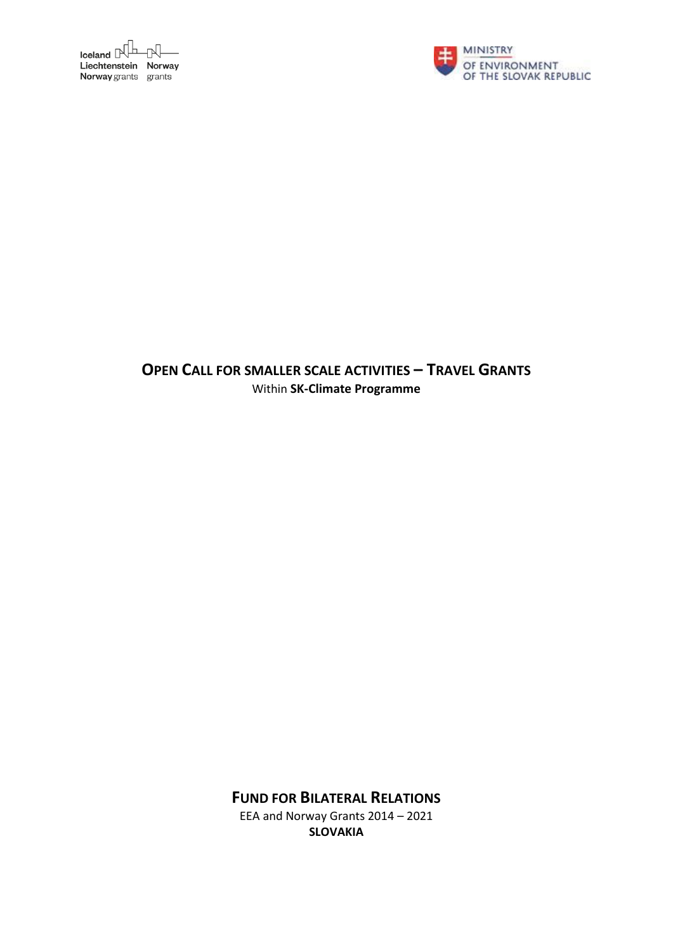



# **OPEN CALL FOR SMALLER SCALE ACTIVITIES – TRAVEL GRANTS** Within **SK-Climate Programme**

**FUND FOR BILATERAL RELATIONS**

EEA and Norway Grants 2014 – 2021 **SLOVAKIA**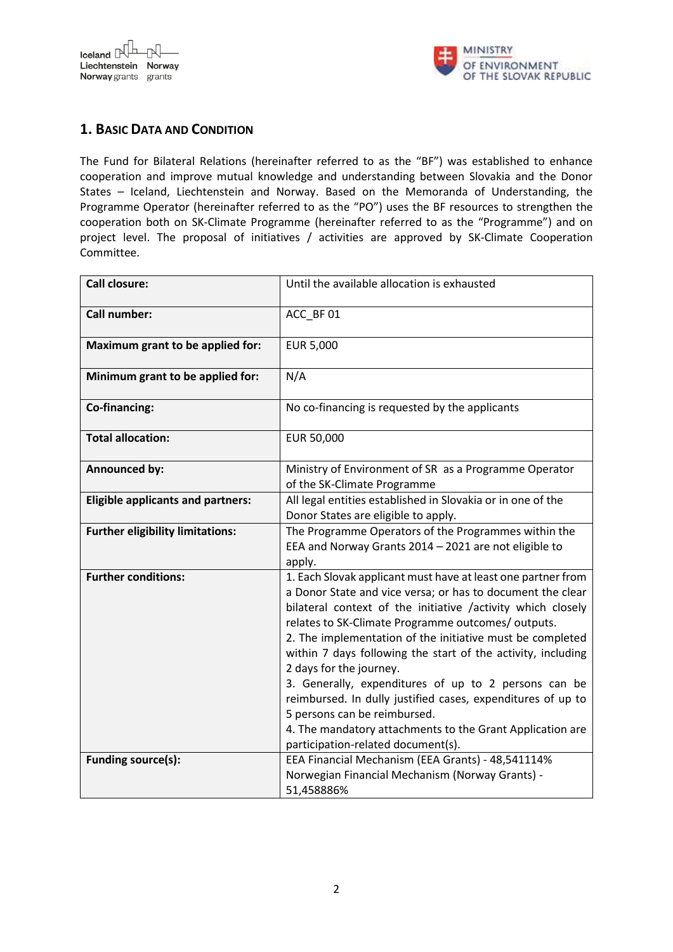



## **1. BASIC DATA AND CONDITION**

The Fund for Bilateral Relations (hereinafter referred to as the "BF") was established to enhance cooperation and improve mutual knowledge and understanding between Slovakia and the Donor States – Iceland, Liechtenstein and Norway. Based on the Memoranda of Understanding, the Programme Operator (hereinafter referred to as the "PO") uses the BF resources to strengthen the cooperation both on SK-Climate Programme (hereinafter referred to as the "Programme") and on project level. The proposal of initiatives / activities are approved by SK-Climate Cooperation Committee.

| <b>Call closure:</b>                     | Until the available allocation is exhausted                                                                                                                                                                                                                                                                                                                                                                                                                                                                                                                                                                                                                      |
|------------------------------------------|------------------------------------------------------------------------------------------------------------------------------------------------------------------------------------------------------------------------------------------------------------------------------------------------------------------------------------------------------------------------------------------------------------------------------------------------------------------------------------------------------------------------------------------------------------------------------------------------------------------------------------------------------------------|
| Call number:                             | ACC BF 01                                                                                                                                                                                                                                                                                                                                                                                                                                                                                                                                                                                                                                                        |
| Maximum grant to be applied for:         | <b>EUR 5,000</b>                                                                                                                                                                                                                                                                                                                                                                                                                                                                                                                                                                                                                                                 |
| Minimum grant to be applied for:         | N/A                                                                                                                                                                                                                                                                                                                                                                                                                                                                                                                                                                                                                                                              |
| Co-financing:                            | No co-financing is requested by the applicants                                                                                                                                                                                                                                                                                                                                                                                                                                                                                                                                                                                                                   |
| <b>Total allocation:</b>                 | EUR 50,000                                                                                                                                                                                                                                                                                                                                                                                                                                                                                                                                                                                                                                                       |
| <b>Announced by:</b>                     | Ministry of Environment of SR as a Programme Operator<br>of the SK-Climate Programme                                                                                                                                                                                                                                                                                                                                                                                                                                                                                                                                                                             |
| <b>Eligible applicants and partners:</b> | All legal entities established in Slovakia or in one of the<br>Donor States are eligible to apply.                                                                                                                                                                                                                                                                                                                                                                                                                                                                                                                                                               |
| <b>Further eligibility limitations:</b>  | The Programme Operators of the Programmes within the<br>EEA and Norway Grants 2014 - 2021 are not eligible to<br>apply.                                                                                                                                                                                                                                                                                                                                                                                                                                                                                                                                          |
| <b>Further conditions:</b>               | 1. Each Slovak applicant must have at least one partner from<br>a Donor State and vice versa; or has to document the clear<br>bilateral context of the initiative /activity which closely<br>relates to SK-Climate Programme outcomes/outputs.<br>2. The implementation of the initiative must be completed<br>within 7 days following the start of the activity, including<br>2 days for the journey.<br>3. Generally, expenditures of up to 2 persons can be<br>reimbursed. In dully justified cases, expenditures of up to<br>5 persons can be reimbursed.<br>4. The mandatory attachments to the Grant Application are<br>participation-related document(s). |
| Funding source(s):                       | EEA Financial Mechanism (EEA Grants) - 48,541114%<br>Norwegian Financial Mechanism (Norway Grants) -<br>51,458886%                                                                                                                                                                                                                                                                                                                                                                                                                                                                                                                                               |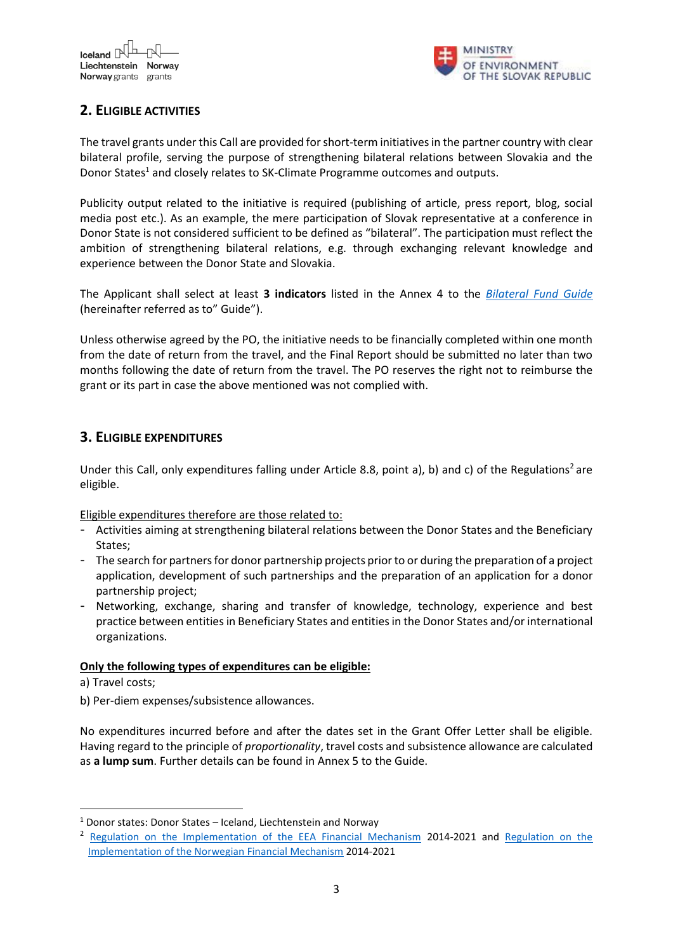

# **2. ELIGIBLE ACTIVITIES**

The travel grants under this Call are provided for short-term initiatives in the partner country with clear bilateral profile, serving the purpose of strengthening bilateral relations between Slovakia and the Donor States<sup>1</sup> and closely relates to SK-Climate Programme outcomes and outputs.

Publicity output related to the initiative is required (publishing of article, press report, blog, social media post etc.). As an example, the mere participation of Slovak representative at a conference in Donor State is not considered sufficient to be defined as "bilateral". The participation must reflect the ambition of strengthening bilateral relations, e.g. through exchanging relevant knowledge and experience between the Donor State and Slovakia.

The Applicant shall select at least **3 indicators** listed in the Annex 4 to the *[Bilateral Fund Guide](https://www.eeagrants.sk/en/programs/fund-for-bilateral-relations/documents/)* (hereinafter referred as to" Guide").

Unless otherwise agreed by the PO, the initiative needs to be financially completed within one month from the date of return from the travel, and the Final Report should be submitted no later than two months following the date of return from the travel. The PO reserves the right not to reimburse the grant or its part in case the above mentioned was not complied with.

### **3. ELIGIBLE EXPENDITURES**

Under this Call, only expenditures falling under Article 8.8, point a), b) and c) of the Regulations<sup>2</sup> are eligible.

Eligible expenditures therefore are those related to:

- Activities aiming at strengthening bilateral relations between the Donor States and the Beneficiary States;
- The search for partners for donor partnership projects prior to or during the preparation of a project application, development of such partnerships and the preparation of an application for a donor partnership project;
- Networking, exchange, sharing and transfer of knowledge, technology, experience and best practice between entities in Beneficiary States and entities in the Donor States and/or international organizations.

#### **Only the following types of expenditures can be eligible:**

a) Travel costs;

**.** 

b) Per-diem expenses/subsistence allowances.

No expenditures incurred before and after the dates set in the Grant Offer Letter shall be eligible. Having regard to the principle of *proportionality*, travel costs and subsistence allowance are calculated as **a lump sum**. Further details can be found in Annex 5 to the Guide.

<sup>1</sup> Donor states: Donor States – Iceland, Liechtenstein and Norway

<sup>2</sup> [Regulation on the Implementation of the EEA Financial Mechanism](https://eeagrants.org/resources/regulation-implementation-eea-grants-2014-2021) 2014-2021 and [Regulation on the](https://eeagrants.org/resources/regulation-implementation-norway-grants-2014-2021)  [Implementation of the Norwegian Financial Mechanism](https://eeagrants.org/resources/regulation-implementation-norway-grants-2014-2021) 2014-2021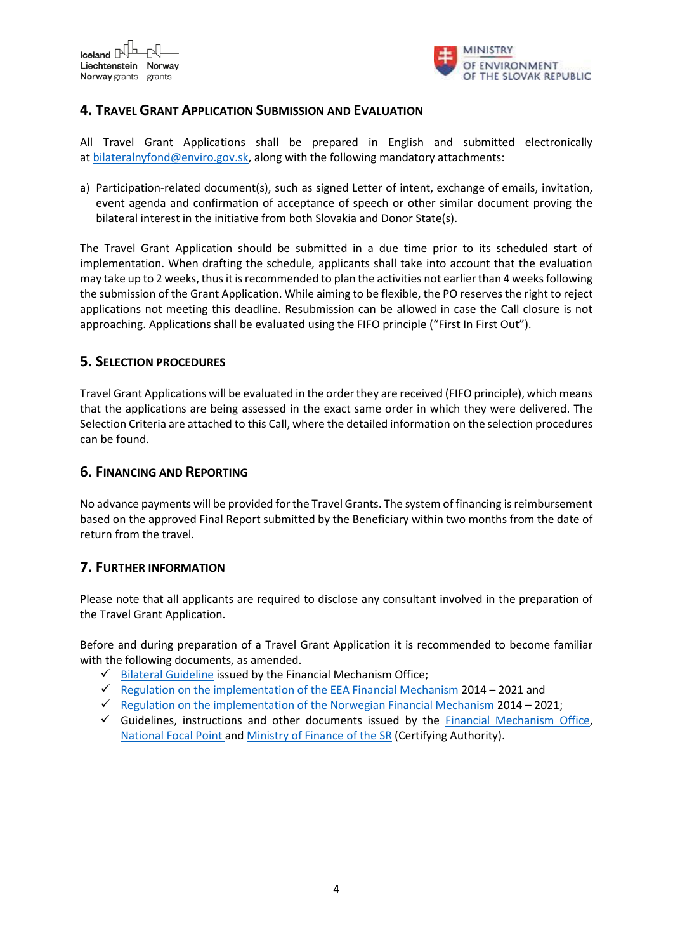

## **4. TRAVEL GRANT APPLICATION SUBMISSION AND EVALUATION**

All Travel Grant Applications shall be prepared in English and submitted electronically at [bilateralnyfond@enviro.gov.sk,](mailto:bilateralnyfond@enviro.gov.sk) along with the following mandatory attachments:

a) Participation-related document(s), such as signed Letter of intent, exchange of emails, invitation, event agenda and confirmation of acceptance of speech or other similar document proving the bilateral interest in the initiative from both Slovakia and Donor State(s).

The Travel Grant Application should be submitted in a due time prior to its scheduled start of implementation. When drafting the schedule, applicants shall take into account that the evaluation may take up to 2 weeks, thus it is recommended to plan the activities not earlier than 4 weeks following the submission of the Grant Application. While aiming to be flexible, the PO reserves the right to reject applications not meeting this deadline. Resubmission can be allowed in case the Call closure is not approaching. Applications shall be evaluated using the FIFO principle ("First In First Out").

#### **5. SELECTION PROCEDURES**

Travel Grant Applications will be evaluated in the order they are received (FIFO principle), which means that the applications are being assessed in the exact same order in which they were delivered. The Selection Criteria are attached to this Call, where the detailed information on the selection procedures can be found.

#### **6. FINANCING AND REPORTING**

No advance payments will be provided for the Travel Grants. The system of financing is reimbursement based on the approved Final Report submitted by the Beneficiary within two months from the date of return from the travel.

### **7. FURTHER INFORMATION**

Please note that all applicants are required to disclose any consultant involved in the preparation of the Travel Grant Application.

Before and during preparation of a Travel Grant Application it is recommended to become familiar with the following documents, as amended.

- $\checkmark$  [Bilateral Guideline](https://eeagrants.org/resources/2014-2021-bilateral-guideline) issued by the Financial Mechanism Office;
- [Regulation on the implementation of the EEA Financial Mechanism](https://eeagrants.org/resources/regulation-implementation-eea-grants-2014-2021) 2014 2021 and
- [Regulation on the implementation of the Norwegian Financial Mechanism](https://eeagrants.org/resources/regulation-implementation-norway-grants-2014-2021)  $2014 2021$ ;
- $\checkmark$  Guidelines, instructions and other documents issued by the **Financial Mechanism Office**, [National Focal Point a](https://www.eeagrants.sk/en/programs/fund-for-bilateral-relations/documents/)nd [Ministry of Finance](https://www.mfsr.sk/en/) of the SR (Certifying Authority).